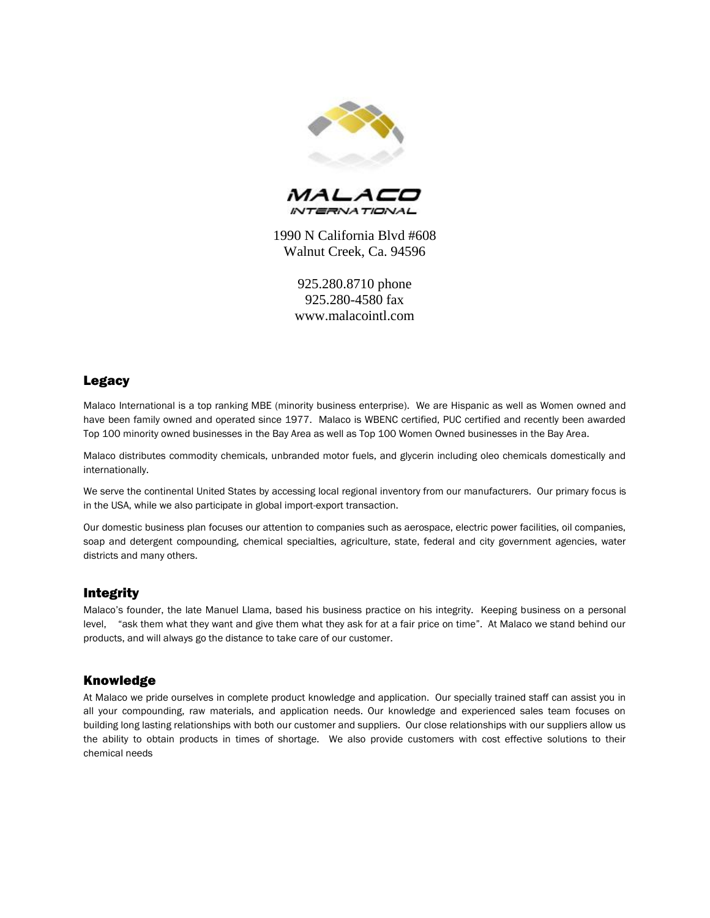



1990 N California Blvd #608 Walnut Creek, Ca. 94596

> 925.280.8710 phone 925.280-4580 fax www.malacointl.com

## Legacy

Malaco International is a top ranking MBE (minority business enterprise). We are Hispanic as well as Women owned and have been family owned and operated since 1977. Malaco is WBENC certified, PUC certified and recently been awarded Top 100 minority owned businesses in the Bay Area as well as Top 100 Women Owned businesses in the Bay Area.

Malaco distributes commodity chemicals, unbranded motor fuels, and glycerin including oleo chemicals domestically and internationally.

We serve the continental United States by accessing local regional inventory from our manufacturers. Our primary focus is in the USA, while we also participate in global import-export transaction.

Our domestic business plan focuses our attention to companies such as aerospace, electric power facilities, oil companies, soap and detergent compounding, chemical specialties, agriculture, state, federal and city government agencies, water districts and many others.

## Integrity

Malaco's founder, the late Manuel Llama, based his business practice on his integrity. Keeping business on a personal level, "ask them what they want and give them what they ask for at a fair price on time". At Malaco we stand behind our products, and will always go the distance to take care of our customer.

## Knowledge

At Malaco we pride ourselves in complete product knowledge and application. Our specially trained staff can assist you in all your compounding, raw materials, and application needs. Our knowledge and experienced sales team focuses on building long lasting relationships with both our customer and suppliers. Our close relationships with our suppliers allow us the ability to obtain products in times of shortage. We also provide customers with cost effective solutions to their chemical needs